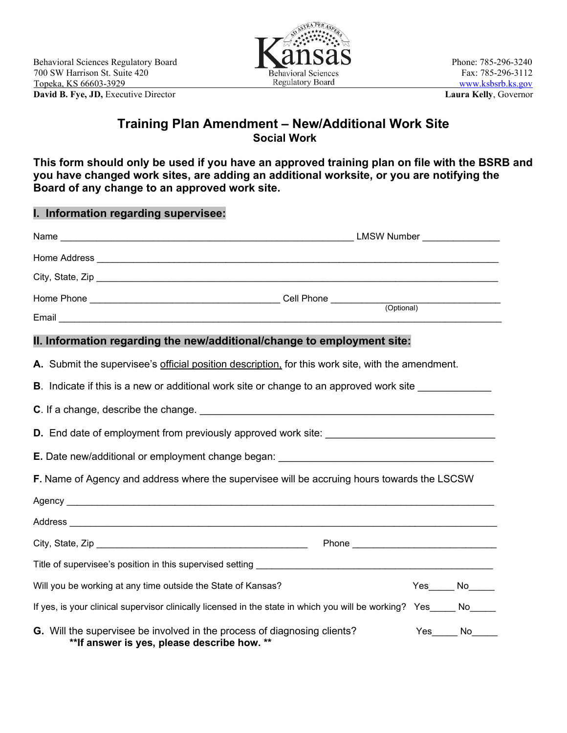

## **Training Plan Amendment – New/Additional Work Site Social Work**

**This form should only be used if you have an approved training plan on file with the BSRB and you have changed work sites, are adding an additional worksite, or you are notifying the Board of any change to an approved work site.**

| I. Information regarding supervisee:                                                                                    |  |              |  |
|-------------------------------------------------------------------------------------------------------------------------|--|--------------|--|
|                                                                                                                         |  |              |  |
|                                                                                                                         |  |              |  |
|                                                                                                                         |  |              |  |
|                                                                                                                         |  |              |  |
|                                                                                                                         |  |              |  |
| II. Information regarding the new/additional/change to employment site:                                                 |  |              |  |
| A. Submit the supervisee's official position description, for this work site, with the amendment.                       |  |              |  |
| <b>B</b> . Indicate if this is a new or additional work site or change to an approved work site                         |  |              |  |
|                                                                                                                         |  |              |  |
|                                                                                                                         |  |              |  |
| E. Date new/additional or employment change began: ______________________________                                       |  |              |  |
| F. Name of Agency and address where the supervisee will be accruing hours towards the LSCSW                             |  |              |  |
|                                                                                                                         |  |              |  |
|                                                                                                                         |  |              |  |
|                                                                                                                         |  |              |  |
|                                                                                                                         |  |              |  |
| Will you be working at any time outside the State of Kansas?                                                            |  | $Yes$ No $N$ |  |
| If yes, is your clinical supervisor clinically licensed in the state in which you will be working? Yes_____ No_____     |  |              |  |
| G. Will the supervisee be involved in the process of diagnosing clients?<br>**If answer is yes, please describe how. ** |  | $Yes$ No     |  |